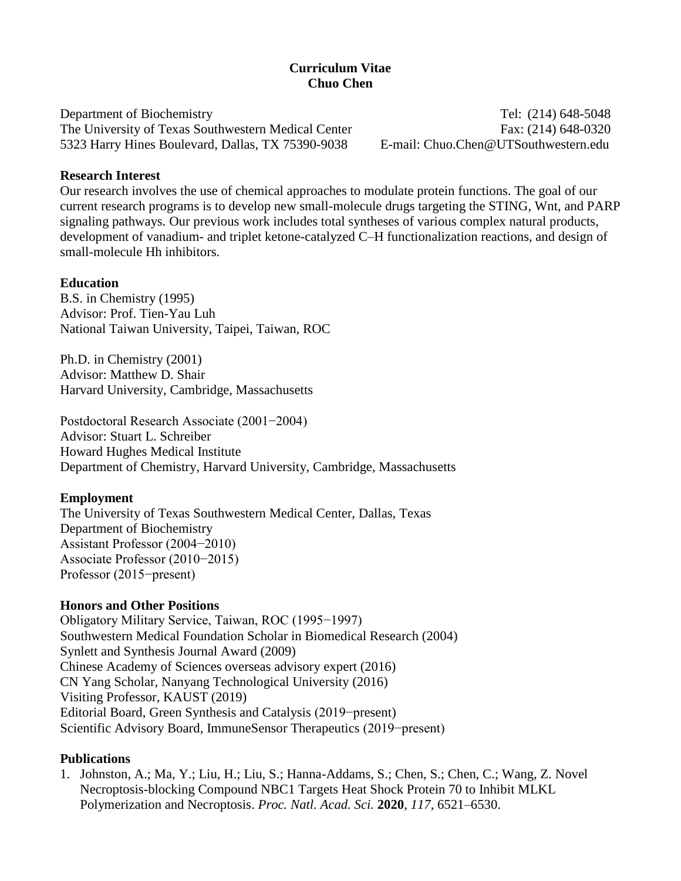# **Curriculum Vitae Chuo Chen**

Department of Biochemistry Tel: (214) 648-5048 The University of Texas Southwestern Medical Center Fax: (214) 648-0320 5323 Harry Hines Boulevard, Dallas, TX 75390-9038 E-mail: Chuo.Chen@UTSouthwestern.edu

#### **Research Interest**

Our research involves the use of chemical approaches to modulate protein functions. The goal of our current research programs is to develop new small-molecule drugs targeting the STING, Wnt, and PARP signaling pathways. Our previous work includes total syntheses of various complex natural products, development of vanadium- and triplet ketone-catalyzed C–H functionalization reactions, and design of small-molecule Hh inhibitors.

### **Education**

B.S. in Chemistry (1995) Advisor: Prof. Tien-Yau Luh National Taiwan University, Taipei, Taiwan, ROC

Ph.D. in Chemistry (2001) Advisor: Matthew D. Shair Harvard University, Cambridge, Massachusetts

Postdoctoral Research Associate (2001−2004) Advisor: Stuart L. Schreiber Howard Hughes Medical Institute Department of Chemistry, Harvard University, Cambridge, Massachusetts

#### **Employment**

The University of Texas Southwestern Medical Center, Dallas, Texas Department of Biochemistry Assistant Professor (2004−2010) Associate Professor (2010−2015) Professor (2015−present)

### **Honors and Other Positions**

Obligatory Military Service, Taiwan, ROC (1995−1997) Southwestern Medical Foundation Scholar in Biomedical Research (2004) Synlett and Synthesis Journal Award (2009) Chinese Academy of Sciences overseas advisory expert (2016) CN Yang Scholar, Nanyang Technological University (2016) Visiting Professor, KAUST (2019) Editorial Board, Green Synthesis and Catalysis (2019−present) Scientific Advisory Board, ImmuneSensor Therapeutics (2019−present)

### **Publications**

1. Johnston, A.; Ma, Y.; Liu, H.; Liu, S.; Hanna-Addams, S.; Chen, S.; Chen, C.; Wang, Z. Novel Necroptosis-blocking Compound NBC1 Targets Heat Shock Protein 70 to Inhibit MLKL Polymerization and Necroptosis. *Proc. Natl. Acad. Sci.* **2020**, *117*, 6521–6530.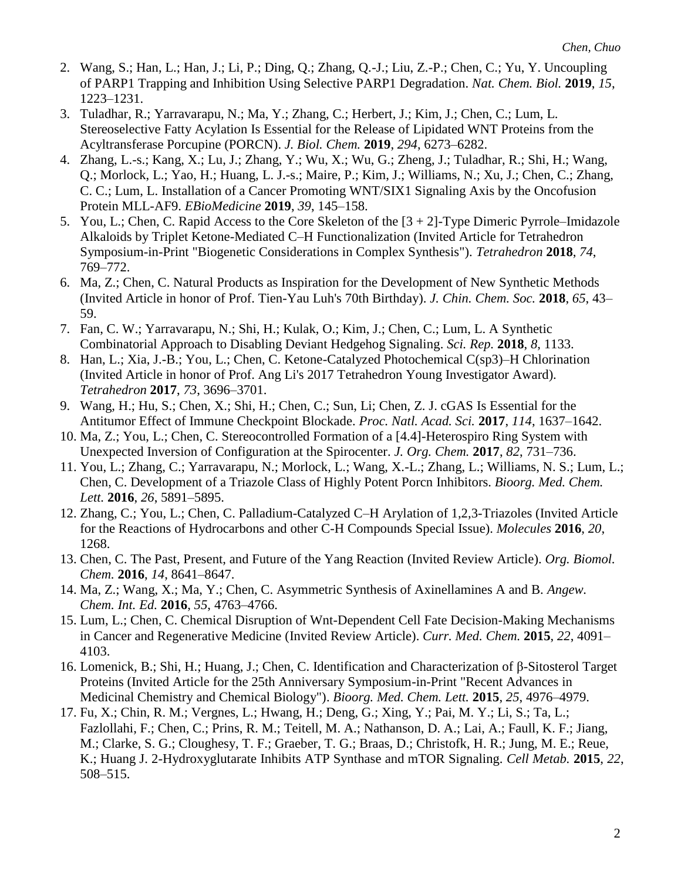- 2. Wang, S.; Han, L.; Han, J.; Li, P.; Ding, Q.; Zhang, Q.-J.; Liu, Z.-P.; Chen, C.; Yu, Y. Uncoupling of PARP1 Trapping and Inhibition Using Selective PARP1 Degradation. *Nat. Chem. Biol.* **2019**, *15*, 1223–1231.
- 3. Tuladhar, R.; Yarravarapu, N.; Ma, Y.; Zhang, C.; Herbert, J.; Kim, J.; Chen, C.; Lum, L. Stereoselective Fatty Acylation Is Essential for the Release of Lipidated WNT Proteins from the Acyltransferase Porcupine (PORCN). *J. Biol. Chem.* **2019**, *294*, 6273–6282.
- 4. Zhang, L.-s.; Kang, X.; Lu, J.; Zhang, Y.; Wu, X.; Wu, G.; Zheng, J.; Tuladhar, R.; Shi, H.; Wang, Q.; Morlock, L.; Yao, H.; Huang, L. J.-s.; Maire, P.; Kim, J.; Williams, N.; Xu, J.; Chen, C.; Zhang, C. C.; Lum, L. Installation of a Cancer Promoting WNT/SIX1 Signaling Axis by the Oncofusion Protein MLL-AF9. *EBioMedicine* **2019**, *39*, 145–158.
- 5. You, L.; Chen, C. Rapid Access to the Core Skeleton of the [3 + 2]-Type Dimeric Pyrrole–Imidazole Alkaloids by Triplet Ketone-Mediated C–H Functionalization (Invited Article for Tetrahedron Symposium-in-Print "Biogenetic Considerations in Complex Synthesis"). *Tetrahedron* **2018**, *74*, 769–772.
- 6. Ma, Z.; Chen, C. Natural Products as Inspiration for the Development of New Synthetic Methods (Invited Article in honor of Prof. Tien-Yau Luh's 70th Birthday). *J. Chin. Chem. Soc.* **2018**, *65*, 43– 59.
- 7. Fan, C. W.; Yarravarapu, N.; Shi, H.; Kulak, O.; Kim, J.; Chen, C.; Lum, L. A Synthetic Combinatorial Approach to Disabling Deviant Hedgehog Signaling. *Sci. Rep.* **2018**, *8*, 1133.
- 8. Han, L.; Xia, J.-B.; You, L.; Chen, C. Ketone-Catalyzed Photochemical C(sp3)–H Chlorination (Invited Article in honor of Prof. Ang Li's 2017 Tetrahedron Young Investigator Award). *Tetrahedron* **2017**, *73*, 3696–3701.
- 9. Wang, H.; Hu, S.; Chen, X.; Shi, H.; Chen, C.; Sun, Li; Chen, Z. J. cGAS Is Essential for the Antitumor Effect of Immune Checkpoint Blockade. *Proc. Natl. Acad. Sci.* **2017**, *114*, 1637–1642.
- 10. Ma, Z.; You, L.; Chen, C. Stereocontrolled Formation of a [4.4]-Heterospiro Ring System with Unexpected Inversion of Configuration at the Spirocenter. *J. Org. Chem.* **2017**, *82*, 731–736.
- 11. You, L.; Zhang, C.; Yarravarapu, N.; Morlock, L.; Wang, X.-L.; Zhang, L.; Williams, N. S.; Lum, L.; Chen, C. Development of a Triazole Class of Highly Potent Porcn Inhibitors. *Bioorg. Med. Chem. Lett.* **2016**, *26*, 5891–5895.
- 12. Zhang, C.; You, L.; Chen, C. Palladium-Catalyzed C–H Arylation of 1,2,3-Triazoles (Invited Article for the Reactions of Hydrocarbons and other C-H Compounds Special Issue). *Molecules* **2016**, *20*, 1268.
- 13. Chen, C. The Past, Present, and Future of the Yang Reaction (Invited Review Article). *Org. Biomol. Chem.* **2016**, *14*, 8641–8647.
- 14. Ma, Z.; Wang, X.; Ma, Y.; Chen, C. Asymmetric Synthesis of Axinellamines A and B. *Angew. Chem. Int. Ed.* **2016**, *55*, 4763–4766.
- 15. Lum, L.; Chen, C. Chemical Disruption of Wnt-Dependent Cell Fate Decision-Making Mechanisms in Cancer and Regenerative Medicine (Invited Review Article). *Curr. Med. Chem.* **2015**, *22*, 4091– 4103.
- 16. Lomenick, B.; Shi, H.; Huang, J.; Chen, C. Identification and Characterization of β-Sitosterol Target Proteins (Invited Article for the 25th Anniversary Symposium-in-Print "Recent Advances in Medicinal Chemistry and Chemical Biology"). *Bioorg. Med. Chem. Lett.* **2015**, *25*, 4976–4979.
- 17. Fu, X.; Chin, R. M.; Vergnes, L.; Hwang, H.; Deng, G.; Xing, Y.; Pai, M. Y.; Li, S.; Ta, L.; Fazlollahi, F.; Chen, C.; Prins, R. M.; Teitell, M. A.; Nathanson, D. A.; Lai, A.; Faull, K. F.; Jiang, M.; Clarke, S. G.; Cloughesy, T. F.; Graeber, T. G.; Braas, D.; Christofk, H. R.; Jung, M. E.; Reue, K.; Huang J. 2-Hydroxyglutarate Inhibits ATP Synthase and mTOR Signaling. *Cell Metab.* **2015**, *22*, 508–515.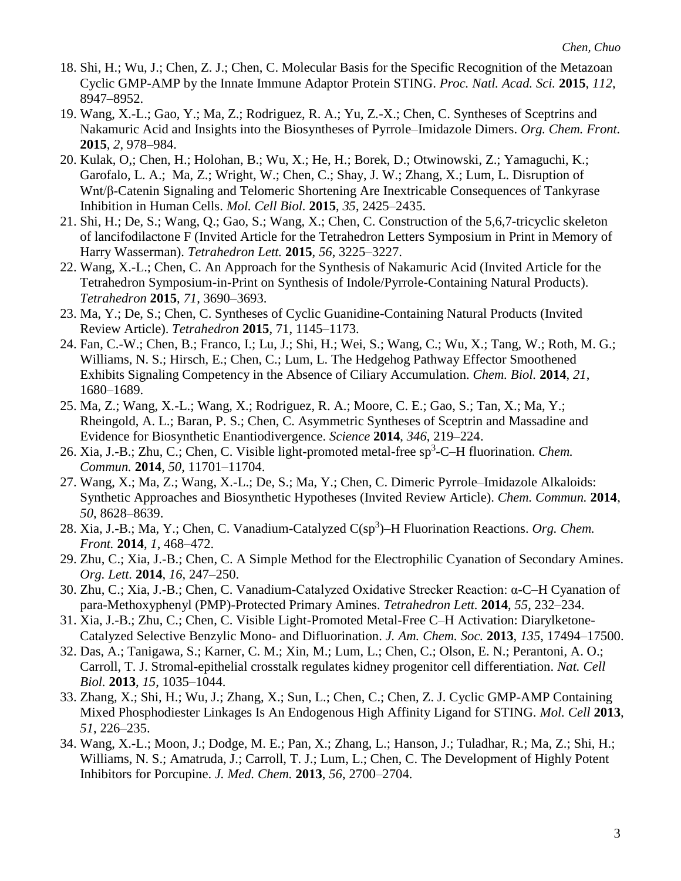- 18. Shi, H.; Wu, J.; Chen, Z. J.; Chen, C. Molecular Basis for the Specific Recognition of the Metazoan Cyclic GMP-AMP by the Innate Immune Adaptor Protein STING. *Proc. Natl. Acad. Sci.* **2015**, *112*, 8947–8952.
- 19. Wang, X.-L.; Gao, Y.; Ma, Z.; Rodriguez, R. A.; Yu, Z.-X.; Chen, C. Syntheses of Sceptrins and Nakamuric Acid and Insights into the Biosyntheses of Pyrrole–Imidazole Dimers. *Org. Chem. Front.* **2015**, *2*, 978–984.
- 20. Kulak, O,; Chen, H.; Holohan, B.; Wu, X.; He, H.; Borek, D.; Otwinowski, Z.; Yamaguchi, K.; Garofalo, L. A.; Ma, Z.; Wright, W.; Chen, C.; Shay, J. W.; Zhang, X.; Lum, L. Disruption of Wnt/β-Catenin Signaling and Telomeric Shortening Are Inextricable Consequences of Tankyrase Inhibition in Human Cells. *Mol. Cell Biol.* **2015**, *35*, 2425–2435.
- 21. Shi, H.; De, S.; Wang, Q.; Gao, S.; Wang, X.; Chen, C. Construction of the 5,6,7-tricyclic skeleton of lancifodilactone F (Invited Article for the Tetrahedron Letters Symposium in Print in Memory of Harry Wasserman). *Tetrahedron Lett.* **2015**, *56*, 3225–3227.
- 22. Wang, X.-L.; Chen, C. An Approach for the Synthesis of Nakamuric Acid (Invited Article for the Tetrahedron Symposium-in-Print on Synthesis of Indole/Pyrrole-Containing Natural Products). *Tetrahedron* **2015**, *71*, 3690–3693.
- 23. Ma, Y.; De, S.; Chen, C. Syntheses of Cyclic Guanidine-Containing Natural Products (Invited Review Article). *Tetrahedron* **2015**, 71, 1145–1173.
- 24. Fan, C.-W.; Chen, B.; Franco, I.; Lu, J.; Shi, H.; Wei, S.; Wang, C.; Wu, X.; Tang, W.; Roth, M. G.; Williams, N. S.; Hirsch, E.; Chen, C.; Lum, L. The Hedgehog Pathway Effector Smoothened Exhibits Signaling Competency in the Absence of Ciliary Accumulation. *Chem. Biol.* **2014**, *21*, 1680–1689.
- 25. Ma, Z.; Wang, X.-L.; Wang, X.; Rodriguez, R. A.; Moore, C. E.; Gao, S.; Tan, X.; Ma, Y.; Rheingold, A. L.; Baran, P. S.; Chen, C. Asymmetric Syntheses of Sceptrin and Massadine and Evidence for Biosynthetic Enantiodivergence. *Science* **2014**, *346*, 219–224.
- 26. Xia, J.-B.; Zhu, C.; Chen, C. Visible light-promoted metal-free sp<sup>3</sup>-C-H fluorination. *Chem. Commun.* **2014**, *50*, 11701–11704.
- 27. Wang, X.; Ma, Z.; Wang, X.-L.; De, S.; Ma, Y.; Chen, C. Dimeric Pyrrole–Imidazole Alkaloids: Synthetic Approaches and Biosynthetic Hypotheses (Invited Review Article). *Chem. Commun.* **2014**, *50*, 8628–8639.
- 28. Xia, J.-B.; Ma, Y.; Chen, C. Vanadium-Catalyzed C(sp<sup>3</sup>)–H Fluorination Reactions. *Org. Chem. Front.* **2014**, *1*, 468–472.
- 29. Zhu, C.; Xia, J.-B.; Chen, C. A Simple Method for the Electrophilic Cyanation of Secondary Amines. *Org. Lett.* **2014**, *16*, 247–250.
- 30. Zhu, C.; Xia, J.-B.; Chen, C. Vanadium-Catalyzed Oxidative Strecker Reaction: α-C–H Cyanation of para-Methoxyphenyl (PMP)-Protected Primary Amines. *Tetrahedron Lett.* **2014**, *55*, 232–234.
- 31. Xia, J.-B.; Zhu, C.; Chen, C. Visible Light-Promoted Metal-Free C–H Activation: Diarylketone-Catalyzed Selective Benzylic Mono- and Difluorination. *J. Am. Chem. Soc.* **2013**, *135*, 17494–17500.
- 32. Das, A.; Tanigawa, S.; Karner, C. M.; Xin, M.; Lum, L.; Chen, C.; Olson, E. N.; Perantoni, A. O.; Carroll, T. J. Stromal-epithelial crosstalk regulates kidney progenitor cell differentiation. *Nat. Cell Biol.* **2013**, *15*, 1035–1044.
- 33. Zhang, X.; Shi, H.; Wu, J.; Zhang, X.; Sun, L.; Chen, C.; Chen, Z. J. Cyclic GMP-AMP Containing Mixed Phosphodiester Linkages Is An Endogenous High Affinity Ligand for STING. *Mol. Cell* **2013**, *51*, 226–235.
- 34. Wang, X.-L.; Moon, J.; Dodge, M. E.; Pan, X.; Zhang, L.; Hanson, J.; Tuladhar, R.; Ma, Z.; Shi, H.; Williams, N. S.; Amatruda, J.; Carroll, T. J.; Lum, L.; Chen, C. The Development of Highly Potent Inhibitors for Porcupine. *J. Med. Chem.* **2013**, *56*, 2700–2704.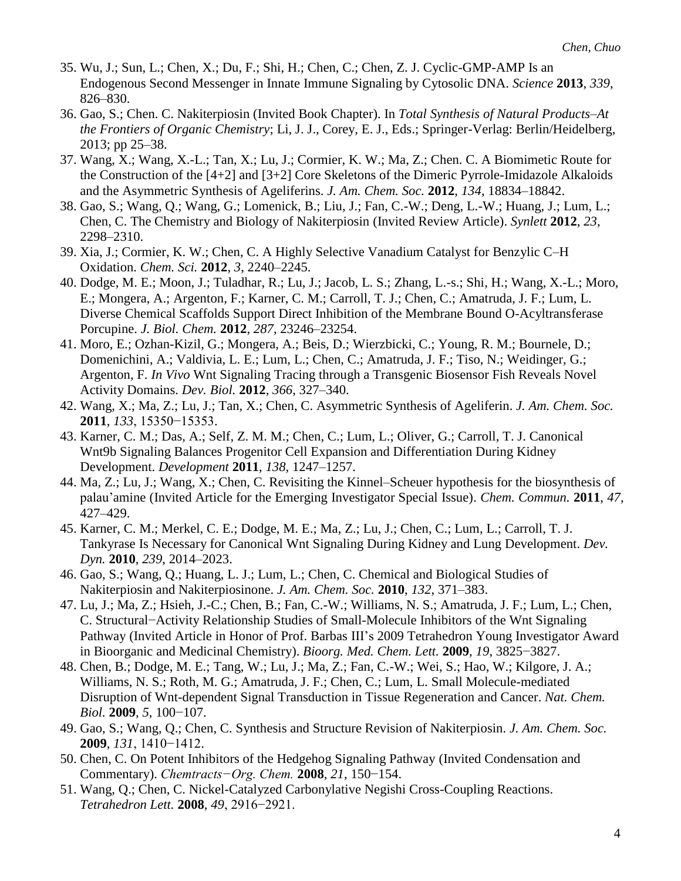- 35. Wu, J.; Sun, L.; Chen, X.; Du, F.; Shi, H.; Chen, C.; Chen, Z. J. Cyclic-GMP-AMP Is an Endogenous Second Messenger in Innate Immune Signaling by Cytosolic DNA. *Science* **2013**, *339*, 826–830.
- 36. Gao, S.; Chen. C. Nakiterpiosin (Invited Book Chapter). In *Total Synthesis of Natural Products–At the Frontiers of Organic Chemistry*; Li, J. J., Corey, E. J., Eds.; Springer-Verlag: Berlin/Heidelberg, 2013; pp 25–38.
- 37. Wang, X.; Wang, X.-L.; Tan, X.; Lu, J.; Cormier, K. W.; Ma, Z.; Chen. C. A Biomimetic Route for the Construction of the [4+2] and [3+2] Core Skeletons of the Dimeric Pyrrole-Imidazole Alkaloids and the Asymmetric Synthesis of Ageliferins. *J. Am. Chem. Soc.* **2012**, *134*, 18834–18842.
- 38. Gao, S.; Wang, Q.; Wang, G.; Lomenick, B.; Liu, J.; Fan, C.-W.; Deng, L.-W.; Huang, J.; Lum, L.; Chen, C. The Chemistry and Biology of Nakiterpiosin (Invited Review Article). *Synlett* **2012**, *23*, 2298–2310.
- 39. Xia, J.; Cormier, K. W.; Chen, C. A Highly Selective Vanadium Catalyst for Benzylic C–H Oxidation. *Chem. Sci.* **2012**, *3*, 2240–2245.
- 40. Dodge, M. E.; Moon, J.; Tuladhar, R.; Lu, J.; Jacob, L. S.; Zhang, L.-s.; Shi, H.; Wang, X.-L.; Moro, E.; Mongera, A.; Argenton, F.; Karner, C. M.; Carroll, T. J.; Chen, C.; Amatruda, J. F.; Lum, L. Diverse Chemical Scaffolds Support Direct Inhibition of the Membrane Bound O-Acyltransferase Porcupine. *J. Biol. Chem.* **2012**, *287*, 23246–23254.
- 41. Moro, E.; Ozhan-Kizil, G.; Mongera, A.; Beis, D.; Wierzbicki, C.; Young, R. M.; Bournele, D.; Domenichini, A.; Valdivia, L. E.; Lum, L.; Chen, C.; Amatruda, J. F.; Tiso, N.; Weidinger, G.; Argenton, F. *In Vivo* Wnt Signaling Tracing through a Transgenic Biosensor Fish Reveals Novel Activity Domains. *Dev. Biol.* **2012**, *366*, 327–340.
- 42. Wang, X.; Ma, Z.; Lu, J.; Tan, X.; Chen, C. Asymmetric Synthesis of Ageliferin. *J. Am. Chem. Soc.* **2011**, *133*, 15350−15353.
- 43. Karner, C. M.; Das, A.; Self, Z. M. M.; Chen, C.; Lum, L.; Oliver, G.; Carroll, T. J. Canonical Wnt9b Signaling Balances Progenitor Cell Expansion and Differentiation During Kidney Development. *Development* **2011**, *138*, 1247–1257.
- 44. Ma, Z.; Lu, J.; Wang, X.; Chen, C. Revisiting the Kinnel–Scheuer hypothesis for the biosynthesis of palau'amine (Invited Article for the Emerging Investigator Special Issue). *Chem. Commun.* **2011**, *47*, 427–429.
- 45. Karner, C. M.; Merkel, C. E.; Dodge, M. E.; Ma, Z.; Lu, J.; Chen, C.; Lum, L.; Carroll, T. J. Tankyrase Is Necessary for Canonical Wnt Signaling During Kidney and Lung Development. *Dev. Dyn.* **2010**, *239*, 2014–2023.
- 46. Gao, S.; Wang, Q.; Huang, L. J.; Lum, L.; Chen, C. Chemical and Biological Studies of Nakiterpiosin and Nakiterpiosinone. *J. Am. Chem. Soc.* **2010**, *132*, 371–383.
- 47. Lu, J.; Ma, Z.; Hsieh, J.-C.; Chen, B.; Fan, C.-W.; Williams, N. S.; Amatruda, J. F.; Lum, L.; Chen, C. Structural−Activity Relationship Studies of Small-Molecule Inhibitors of the Wnt Signaling Pathway (Invited Article in Honor of Prof. Barbas III's 2009 Tetrahedron Young Investigator Award in Bioorganic and Medicinal Chemistry). *Bioorg. Med. Chem. Lett.* **2009**, *19*, 3825−3827.
- 48. Chen, B.; Dodge, M. E.; Tang, W.; Lu, J.; Ma, Z.; Fan, C.-W.; Wei, S.; Hao, W.; Kilgore, J. A.; Williams, N. S.; Roth, M. G.; Amatruda, J. F.; Chen, C.; Lum, L. Small Molecule-mediated Disruption of Wnt-dependent Signal Transduction in Tissue Regeneration and Cancer. *Nat. Chem. Biol.* **2009**, *5*, 100−107.
- 49. Gao, S.; Wang, Q.; Chen, C. Synthesis and Structure Revision of Nakiterpiosin. *J. Am. Chem. Soc.* **2009**, *131*, 1410−1412.
- 50. Chen, C. On Potent Inhibitors of the Hedgehog Signaling Pathway (Invited Condensation and Commentary). *Chemtracts−Org. Chem.* **2008**, *21*, 150−154.
- 51. Wang, Q.; Chen, C. Nickel-Catalyzed Carbonylative Negishi Cross-Coupling Reactions. *Tetrahedron Lett.* **2008**, *49*, 2916−2921.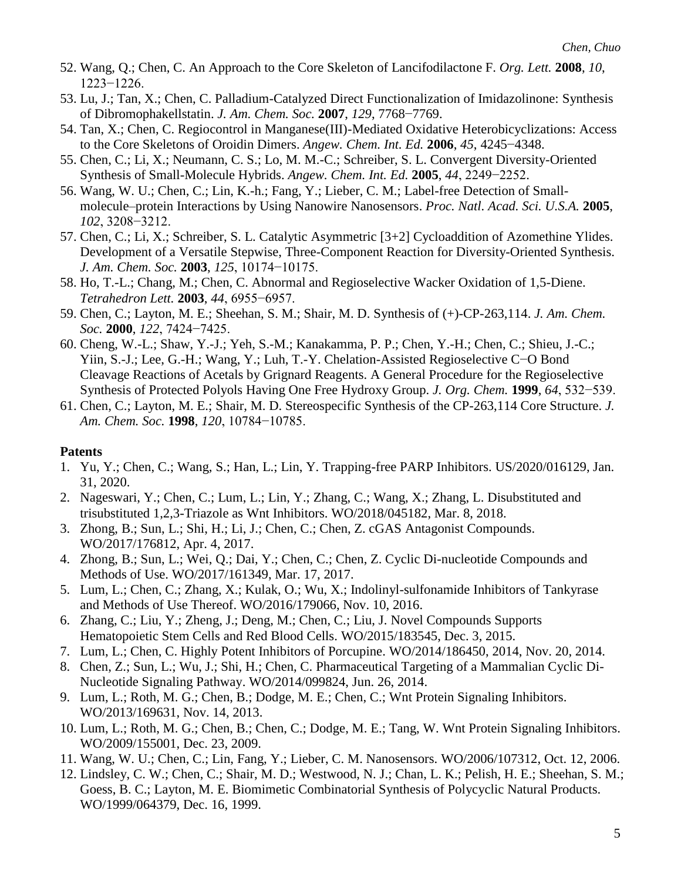- 52. Wang, Q.; Chen, C. An Approach to the Core Skeleton of Lancifodilactone F. *Org. Lett.* **2008**, *10*, 1223−1226.
- 53. Lu, J.; Tan, X.; Chen, C. Palladium-Catalyzed Direct Functionalization of Imidazolinone: Synthesis of Dibromophakellstatin. *J. Am. Chem. Soc.* **2007**, *129*, 7768−7769.
- 54. Tan, X.; Chen, C. Regiocontrol in Manganese(III)-Mediated Oxidative Heterobicyclizations: Access to the Core Skeletons of Oroidin Dimers. *Angew. Chem. Int. Ed.* **2006**, *45*, 4245−4348.
- 55. Chen, C.; Li, X.; Neumann, C. S.; Lo, M. M.-C.; Schreiber, S. L. Convergent Diversity-Oriented Synthesis of Small-Molecule Hybrids. *Angew. Chem. Int. Ed.* **2005**, *44*, 2249−2252.
- 56. Wang, W. U.; Chen, C.; Lin, K.-h.; Fang, Y.; Lieber, C. M.; Label-free Detection of Smallmolecule–protein Interactions by Using Nanowire Nanosensors. *Proc. Natl. Acad. Sci. U.S.A.* **2005**, *102*, 3208−3212.
- 57. Chen, C.; Li, X.; Schreiber, S. L. Catalytic Asymmetric [3+2] Cycloaddition of Azomethine Ylides. Development of a Versatile Stepwise, Three-Component Reaction for Diversity-Oriented Synthesis. *J. Am. Chem. Soc.* **2003**, *125*, 10174−10175.
- 58. Ho, T.-L.; Chang, M.; Chen, C. Abnormal and Regioselective Wacker Oxidation of 1,5-Diene. *Tetrahedron Lett.* **2003**, *44*, 6955−6957.
- 59. Chen, C.; Layton, M. E.; Sheehan, S. M.; Shair, M. D. Synthesis of (+)-CP-263,114. *J. Am. Chem. Soc.* **2000**, *122*, 7424−7425.
- 60. Cheng, W.-L.; Shaw, Y.-J.; Yeh, S.-M.; Kanakamma, P. P.; Chen, Y.-H.; Chen, C.; Shieu, J.-C.; Yiin, S.-J.; Lee, G.-H.; Wang, Y.; Luh, T.-Y. Chelation-Assisted Regioselective C−O Bond Cleavage Reactions of Acetals by Grignard Reagents. A General Procedure for the Regioselective Synthesis of Protected Polyols Having One Free Hydroxy Group. *J. Org. Chem.* **1999**, *64*, 532−539.
- 61. Chen, C.; Layton, M. E.; Shair, M. D. Stereospecific Synthesis of the CP-263,114 Core Structure. *J. Am. Chem. Soc.* **1998**, *120*, 10784−10785.

# **Patents**

- 1. Yu, Y.; Chen, C.; Wang, S.; Han, L.; Lin, Y. Trapping-free PARP Inhibitors. US/2020/016129, Jan. 31, 2020.
- 2. Nageswari, Y.; Chen, C.; Lum, L.; Lin, Y.; Zhang, C.; Wang, X.; Zhang, L. Disubstituted and trisubstituted 1,2,3-Triazole as Wnt Inhibitors. WO/2018/045182, Mar. 8, 2018.
- 3. Zhong, B.; Sun, L.; Shi, H.; Li, J.; Chen, C.; Chen, Z. cGAS Antagonist Compounds. WO/2017/176812, Apr. 4, 2017.
- 4. Zhong, B.; Sun, L.; Wei, Q.; Dai, Y.; Chen, C.; Chen, Z. Cyclic Di-nucleotide Compounds and Methods of Use. WO/2017/161349, Mar. 17, 2017.
- 5. Lum, L.; Chen, C.; Zhang, X.; Kulak, O.; Wu, X.; Indolinyl-sulfonamide Inhibitors of Tankyrase and Methods of Use Thereof. WO/2016/179066, Nov. 10, 2016.
- 6. Zhang, C.; Liu, Y.; Zheng, J.; Deng, M.; Chen, C.; Liu, J. Novel Compounds Supports Hematopoietic Stem Cells and Red Blood Cells. WO/2015/183545, Dec. 3, 2015.
- 7. Lum, L.; Chen, C. Highly Potent Inhibitors of Porcupine. WO/2014/186450, 2014, Nov. 20, 2014.
- 8. Chen, Z.; Sun, L.; Wu, J.; Shi, H.; Chen, C. Pharmaceutical Targeting of a Mammalian Cyclic Di-Nucleotide Signaling Pathway. WO/2014/099824, Jun. 26, 2014.
- 9. Lum, L.; Roth, M. G.; Chen, B.; Dodge, M. E.; Chen, C.; Wnt Protein Signaling Inhibitors. WO/2013/169631, Nov. 14, 2013.
- 10. Lum, L.; Roth, M. G.; Chen, B.; Chen, C.; Dodge, M. E.; Tang, W. Wnt Protein Signaling Inhibitors. WO/2009/155001, Dec. 23, 2009.
- 11. Wang, W. U.; Chen, C.; Lin, Fang, Y.; Lieber, C. M. Nanosensors. WO/2006/107312, Oct. 12, 2006.
- 12. Lindsley, C. W.; Chen, C.; Shair, M. D.; Westwood, N. J.; Chan, L. K.; Pelish, H. E.; Sheehan, S. M.; Goess, B. C.; Layton, M. E. Biomimetic Combinatorial Synthesis of Polycyclic Natural Products. WO/1999/064379, Dec. 16, 1999.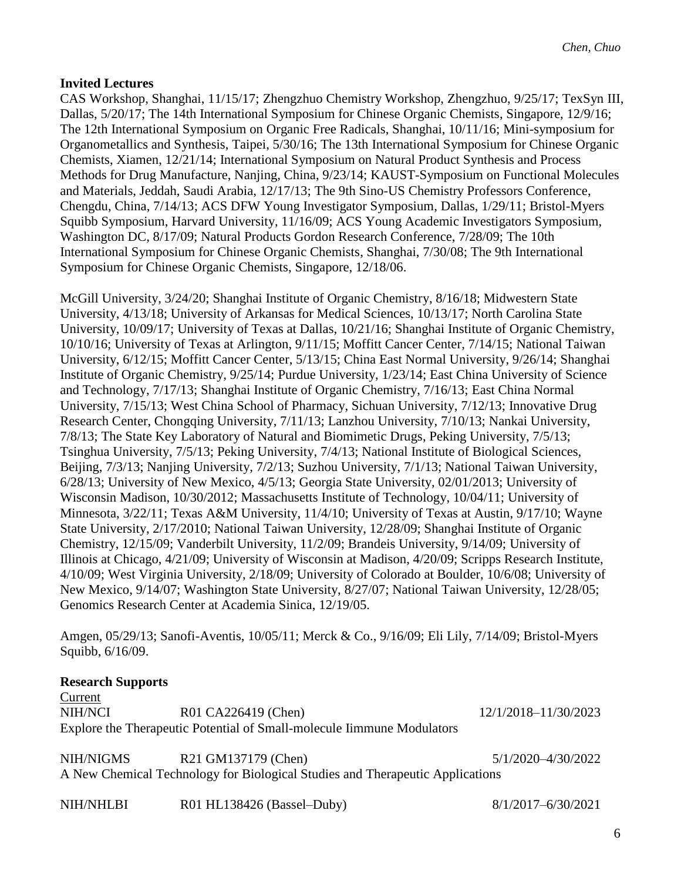# **Invited Lectures**

CAS Workshop, Shanghai, 11/15/17; Zhengzhuo Chemistry Workshop, Zhengzhuo, 9/25/17; TexSyn III, Dallas, 5/20/17; The 14th International Symposium for Chinese Organic Chemists, Singapore, 12/9/16; The 12th International Symposium on Organic Free Radicals, Shanghai, 10/11/16; Mini-symposium for Organometallics and Synthesis, Taipei, 5/30/16; The 13th International Symposium for Chinese Organic Chemists, Xiamen, 12/21/14; International Symposium on Natural Product Synthesis and Process Methods for Drug Manufacture, Nanjing, China, 9/23/14; KAUST-Symposium on Functional Molecules and Materials, Jeddah, Saudi Arabia, 12/17/13; The 9th Sino-US Chemistry Professors Conference, Chengdu, China, 7/14/13; ACS DFW Young Investigator Symposium, Dallas, 1/29/11; Bristol-Myers Squibb Symposium, Harvard University, 11/16/09; ACS Young Academic Investigators Symposium, Washington DC, 8/17/09; Natural Products Gordon Research Conference, 7/28/09; The 10th International Symposium for Chinese Organic Chemists, Shanghai, 7/30/08; The 9th International Symposium for Chinese Organic Chemists, Singapore, 12/18/06.

McGill University, 3/24/20; Shanghai Institute of Organic Chemistry, 8/16/18; Midwestern State University, 4/13/18; University of Arkansas for Medical Sciences, 10/13/17; North Carolina State University, 10/09/17; University of Texas at Dallas, 10/21/16; Shanghai Institute of Organic Chemistry, 10/10/16; University of Texas at Arlington, 9/11/15; Moffitt Cancer Center, 7/14/15; National Taiwan University, 6/12/15; Moffitt Cancer Center, 5/13/15; China East Normal University, 9/26/14; Shanghai Institute of Organic Chemistry, 9/25/14; Purdue University, 1/23/14; East China University of Science and Technology, 7/17/13; Shanghai Institute of Organic Chemistry, 7/16/13; East China Normal University, 7/15/13; West China School of Pharmacy, Sichuan University, 7/12/13; Innovative Drug Research Center, Chongqing University, 7/11/13; Lanzhou University, 7/10/13; Nankai University, 7/8/13; The State Key Laboratory of Natural and Biomimetic Drugs, Peking University, 7/5/13; Tsinghua University, 7/5/13; Peking University, 7/4/13; National Institute of Biological Sciences, Beijing, 7/3/13; Nanjing University, 7/2/13; Suzhou University, 7/1/13; National Taiwan University, 6/28/13; University of New Mexico, 4/5/13; Georgia State University, 02/01/2013; University of Wisconsin Madison, 10/30/2012; Massachusetts Institute of Technology, 10/04/11; University of Minnesota, 3/22/11; Texas A&M University, 11/4/10; University of Texas at Austin, 9/17/10; Wayne State University, 2/17/2010; National Taiwan University, 12/28/09; Shanghai Institute of Organic Chemistry, 12/15/09; Vanderbilt University, 11/2/09; Brandeis University, 9/14/09; University of Illinois at Chicago, 4/21/09; University of Wisconsin at Madison, 4/20/09; Scripps Research Institute, 4/10/09; West Virginia University, 2/18/09; University of Colorado at Boulder, 10/6/08; University of New Mexico, 9/14/07; Washington State University, 8/27/07; National Taiwan University, 12/28/05; Genomics Research Center at Academia Sinica, 12/19/05.

Amgen, 05/29/13; Sanofi-Aventis, 10/05/11; Merck & Co., 9/16/09; Eli Lily, 7/14/09; Bristol-Myers Squibb, 6/16/09.

# **Research Supports**

Current NIH/NCI R01 CA226419 (Chen) 12/1/2018–11/30/2023 Explore the Therapeutic Potential of Small-molecule Iimmune Modulators

NIH/NIGMS R21 GM137179 (Chen) 5/1/2020–4/30/2022 A New Chemical Technology for Biological Studies and Therapeutic Applications

NIH/NHLBI R01 HL138426 (Bassel–Duby) 8/1/2017–6/30/2021